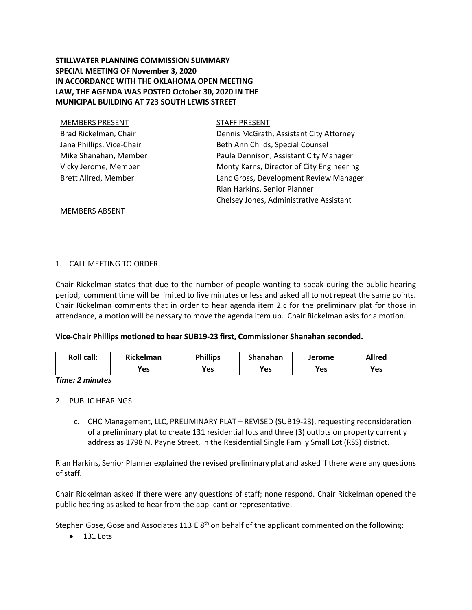# **STILLWATER PLANNING COMMISSION SUMMARY SPECIAL MEETING OF November 3, 2020 IN ACCORDANCE WITH THE OKLAHOMA OPEN MEETING LAW, THE AGENDA WAS POSTED October 30, 2020 IN THE MUNICIPAL BUILDING AT 723 SOUTH LEWIS STREET**

| <b>STAFF PRESENT</b>                      |
|-------------------------------------------|
| Dennis McGrath, Assistant City Attorney   |
| Beth Ann Childs, Special Counsel          |
| Paula Dennison, Assistant City Manager    |
| Monty Karns, Director of City Engineering |
| Lanc Gross, Development Review Manager    |
| Rian Harkins, Senior Planner              |
| Chelsey Jones, Administrative Assistant   |
|                                           |

MEMBERS ABSENT

## 1. CALL MEETING TO ORDER.

Chair Rickelman states that due to the number of people wanting to speak during the public hearing period, comment time will be limited to five minutes or less and asked all to not repeat the same points. Chair Rickelman comments that in order to hear agenda item 2.c for the preliminary plat for those in attendance, a motion will be nessary to move the agenda item up. Chair Rickelman asks for a motion.

### **Vice-Chair Phillips motioned to hear SUB19-23 first, Commissioner Shanahan seconded.**

| <b>Roll call:</b> | Rickelman | <b>Phillips</b> | Shanahan | Jerome | Allred |
|-------------------|-----------|-----------------|----------|--------|--------|
|                   | Yes       | Yes             | Yes      | Yes    | Yes    |

### *Time: 2 minutes*

- 2. PUBLIC HEARINGS:
	- c. CHC Management, LLC, PRELIMINARY PLAT REVISED (SUB19-23), requesting reconsideration of a preliminary plat to create 131 residential lots and three (3) outlots on property currently address as 1798 N. Payne Street, in the Residential Single Family Small Lot (RSS) district.

Rian Harkins, Senior Planner explained the revised preliminary plat and asked if there were any questions of staff.

Chair Rickelman asked if there were any questions of staff; none respond. Chair Rickelman opened the public hearing as asked to hear from the applicant or representative.

Stephen Gose, Gose and Associates 113 E  $8<sup>th</sup>$  on behalf of the applicant commented on the following:

• 131 Lots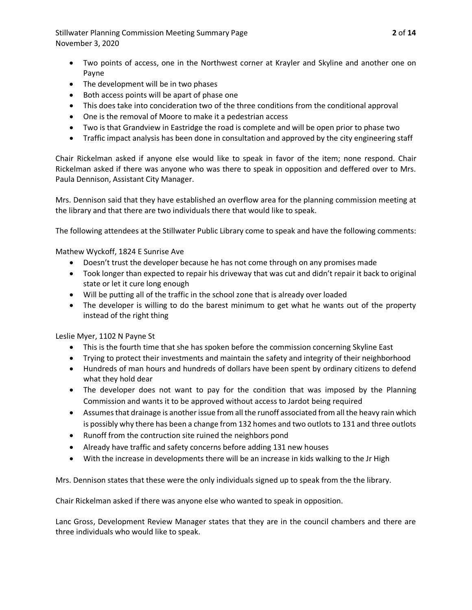Stillwater Planning Commission Meeting Summary Page **2** of **14** November 3, 2020

- Two points of access, one in the Northwest corner at Krayler and Skyline and another one on Payne
- The development will be in two phases
- Both access points will be apart of phase one
- This does take into concideration two of the three conditions from the conditional approval
- One is the removal of Moore to make it a pedestrian access
- Two is that Grandview in Eastridge the road is complete and will be open prior to phase two
- Traffic impact analysis has been done in consultation and approved by the city engineering staff

Chair Rickelman asked if anyone else would like to speak in favor of the item; none respond. Chair Rickelman asked if there was anyone who was there to speak in opposition and deffered over to Mrs. Paula Dennison, Assistant City Manager.

Mrs. Dennison said that they have established an overflow area for the planning commission meeting at the library and that there are two individuals there that would like to speak.

The following attendees at the Stillwater Public Library come to speak and have the following comments:

Mathew Wyckoff, 1824 E Sunrise Ave

- Doesn't trust the developer because he has not come through on any promises made
- Took longer than expected to repair his driveway that was cut and didn't repair it back to original state or let it cure long enough
- Will be putting all of the traffic in the school zone that is already over loaded
- The developer is willing to do the barest minimum to get what he wants out of the property instead of the right thing

Leslie Myer, 1102 N Payne St

- This is the fourth time that she has spoken before the commission concerning Skyline East
- Trying to protect their investments and maintain the safety and integrity of their neighborhood
- Hundreds of man hours and hundreds of dollars have been spent by ordinary citizens to defend what they hold dear
- The developer does not want to pay for the condition that was imposed by the Planning Commission and wants it to be approved without access to Jardot being required
- Assumes that drainage is another issue from all the runoff associated from all the heavy rain which is possibly why there has been a change from 132 homes and two outlots to 131 and three outlots
- Runoff from the contruction site ruined the neighbors pond
- Already have traffic and safety concerns before adding 131 new houses
- With the increase in developments there will be an increase in kids walking to the Jr High

Mrs. Dennison states that these were the only individuals signed up to speak from the the library.

Chair Rickelman asked if there was anyone else who wanted to speak in opposition.

Lanc Gross, Development Review Manager states that they are in the council chambers and there are three individuals who would like to speak.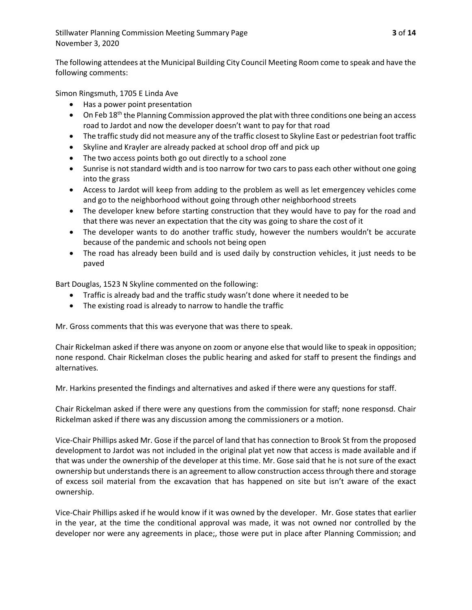The following attendees at the Municipal Building City Council Meeting Room come to speak and have the following comments:

Simon Ringsmuth, 1705 E Linda Ave

- Has a power point presentation
- On Feb 18<sup>th</sup> the Planning Commission approved the plat with three conditions one being an access road to Jardot and now the developer doesn't want to pay for that road
- The traffic study did not measure any of the traffic closest to Skyline East or pedestrian foot traffic
- Skyline and Krayler are already packed at school drop off and pick up
- The two access points both go out directly to a school zone
- Sunrise is not standard width and is too narrow for two cars to pass each other without one going into the grass
- Access to Jardot will keep from adding to the problem as well as let emergencey vehicles come and go to the neighborhood without going through other neighborhood streets
- The developer knew before starting construction that they would have to pay for the road and that there was never an expectation that the city was going to share the cost of it
- The developer wants to do another traffic study, however the numbers wouldn't be accurate because of the pandemic and schools not being open
- The road has already been build and is used daily by construction vehicles, it just needs to be paved

Bart Douglas, 1523 N Skyline commented on the following:

- Traffic is already bad and the traffic study wasn't done where it needed to be
- The existing road is already to narrow to handle the traffic

Mr. Gross comments that this was everyone that was there to speak.

Chair Rickelman asked if there was anyone on zoom or anyone else that would like to speak in opposition; none respond. Chair Rickelman closes the public hearing and asked for staff to present the findings and alternatives.

Mr. Harkins presented the findings and alternatives and asked if there were any questions for staff.

Chair Rickelman asked if there were any questions from the commission for staff; none responsd. Chair Rickelman asked if there was any discussion among the commissioners or a motion.

Vice-Chair Phillips asked Mr. Gose if the parcel of land that has connection to Brook St from the proposed development to Jardot was not included in the original plat yet now that access is made available and if that was under the ownership of the developer at this time. Mr. Gose said that he is not sure of the exact ownership but understands there is an agreement to allow construction access through there and storage of excess soil material from the excavation that has happened on site but isn't aware of the exact ownership.

Vice-Chair Phillips asked if he would know if it was owned by the developer. Mr. Gose states that earlier in the year, at the time the conditional approval was made, it was not owned nor controlled by the developer nor were any agreements in place;, those were put in place after Planning Commission; and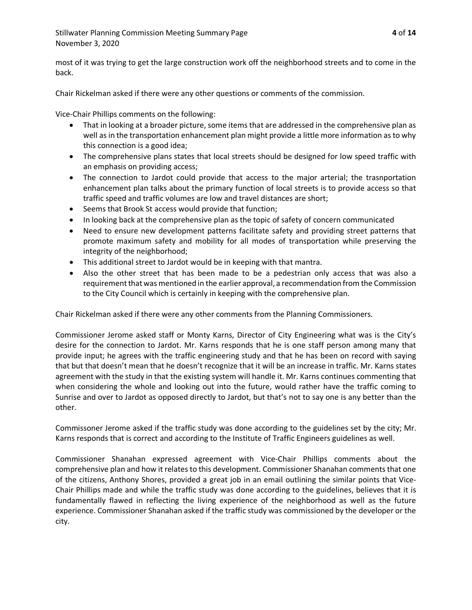Stillwater Planning Commission Meeting Summary Page **4** of **14** November 3, 2020

most of it was trying to get the large construction work off the neighborhood streets and to come in the back.

Chair Rickelman asked if there were any other questions or comments of the commission.

Vice-Chair Phillips comments on the following:

- That in looking at a broader picture, some items that are addressed in the comprehensive plan as well as in the transportation enhancement plan might provide a little more information as to why this connection is a good idea;
- The comprehensive plans states that local streets should be designed for low speed traffic with an emphasis on providing access;
- The connection to Jardot could provide that access to the major arterial; the trasnportation enhancement plan talks about the primary function of local streets is to provide access so that traffic speed and traffic volumes are low and travel distances are short;
- Seems that Brook St access would provide that function;
- In looking back at the comprehensive plan as the topic of safety of concern communicated
- Need to ensure new development patterns facilitate safety and providing street patterns that promote maximum safety and mobility for all modes of transportation while preserving the integrity of the neighborhood;
- This additional street to Jardot would be in keeping with that mantra.
- Also the other street that has been made to be a pedestrian only access that was also a requirement that was mentioned in the earlier approval, a recommendation from the Commission to the City Council which is certainly in keeping with the comprehensive plan.

Chair Rickelman asked if there were any other comments from the Planning Commissioners.

Commissioner Jerome asked staff or Monty Karns, Director of City Engineering what was is the City's desire for the connection to Jardot. Mr. Karns responds that he is one staff person among many that provide input; he agrees with the traffic engineering study and that he has been on record with saying that but that doesn't mean that he doesn't recognize that it will be an increase in traffic. Mr. Karns states agreement with the study in that the existing system will handle it. Mr. Karns continues commenting that when considering the whole and looking out into the future, would rather have the traffic coming to Sunrise and over to Jardot as opposed directly to Jardot, but that's not to say one is any better than the other.

Commissoner Jerome asked if the traffic study was done according to the guidelines set by the city; Mr. Karns responds that is correct and according to the Institute of Traffic Engineers guidelines as well.

Commissioner Shanahan expressed agreement with Vice-Chair Phillips comments about the comprehensive plan and how it relates to this development. Commissioner Shanahan comments that one of the citizens, Anthony Shores, provided a great job in an email outlining the similar points that Vice-Chair Phillips made and while the traffic study was done according to the guidelines, believes that it is fundamentally flawed in reflecting the living experience of the neighborhood as well as the future experience. Commissioner Shanahan asked if the traffic study was commissioned by the developer or the city.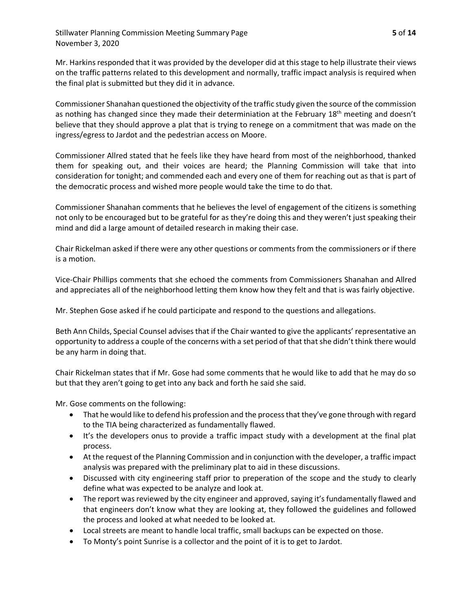Mr. Harkins responded that it was provided by the developer did at this stage to help illustrate their views on the traffic patterns related to this development and normally, traffic impact analysis is required when the final plat is submitted but they did it in advance.

Commissioner Shanahan questioned the objectivity of the traffic study given the source of the commission as nothing has changed since they made their determiniation at the February 18<sup>th</sup> meeting and doesn't believe that they should approve a plat that is trying to renege on a commitment that was made on the ingress/egress to Jardot and the pedestrian access on Moore.

Commissioner Allred stated that he feels like they have heard from most of the neighborhood, thanked them for speaking out, and their voices are heard; the Planning Commission will take that into consideration for tonight; and commended each and every one of them for reaching out as that is part of the democratic process and wished more people would take the time to do that.

Commissioner Shanahan comments that he believes the level of engagement of the citizens is something not only to be encouraged but to be grateful for as they're doing this and they weren't just speaking their mind and did a large amount of detailed research in making their case.

Chair Rickelman asked if there were any other questions or comments from the commissioners or if there is a motion.

Vice-Chair Phillips comments that she echoed the comments from Commissioners Shanahan and Allred and appreciates all of the neighborhood letting them know how they felt and that is was fairly objective.

Mr. Stephen Gose asked if he could participate and respond to the questions and allegations.

Beth Ann Childs, Special Counsel advisesthat if the Chair wanted to give the applicants' representative an opportunity to address a couple of the concerns with a set period of that that she didn't think there would be any harm in doing that.

Chair Rickelman states that if Mr. Gose had some comments that he would like to add that he may do so but that they aren't going to get into any back and forth he said she said.

Mr. Gose comments on the following:

- That he would like to defend his profession and the process that they've gone through with regard to the TIA being characterized as fundamentally flawed.
- It's the developers onus to provide a traffic impact study with a development at the final plat process.
- At the request of the Planning Commission and in conjunction with the developer, a traffic impact analysis was prepared with the preliminary plat to aid in these discussions.
- Discussed with city engineering staff prior to preperation of the scope and the study to clearly define what was expected to be analyze and look at.
- The report was reviewed by the city engineer and approved, saying it's fundamentally flawed and that engineers don't know what they are looking at, they followed the guidelines and followed the process and looked at what needed to be looked at.
- Local streets are meant to handle local traffic, small backups can be expected on those.
- To Monty's point Sunrise is a collector and the point of it is to get to Jardot.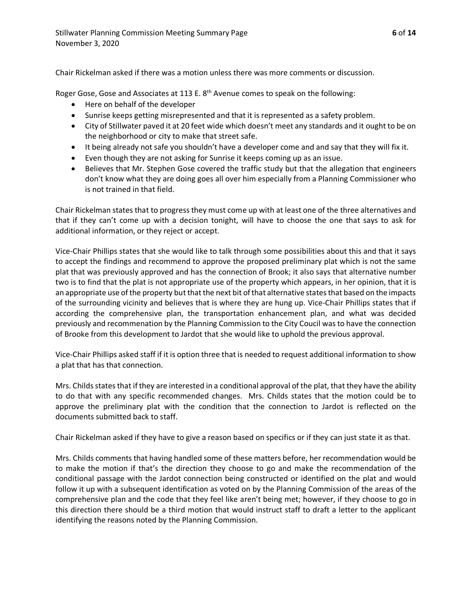Chair Rickelman asked if there was a motion unless there was more comments or discussion.

Roger Gose, Gose and Associates at 113 E. 8<sup>th</sup> Avenue comes to speak on the following:

- Here on behalf of the developer
- Sunrise keeps getting misrepresented and that it is represented as a safety problem.
- City of Stillwater paved it at 20 feet wide which doesn't meet any standards and it ought to be on the neighborhood or city to make that street safe.
- It being already not safe you shouldn't have a developer come and and say that they will fix it.
- Even though they are not asking for Sunrise it keeps coming up as an issue.
- Believes that Mr. Stephen Gose covered the traffic study but that the allegation that engineers don't know what they are doing goes all over him especially from a Planning Commissioner who is not trained in that field.

Chair Rickelman states that to progress they must come up with at least one of the three alternatives and that if they can't come up with a decision tonight, will have to choose the one that says to ask for additional information, or they reject or accept.

Vice-Chair Phillips states that she would like to talk through some possibilities about this and that it says to accept the findings and recommend to approve the proposed preliminary plat which is not the same plat that was previously approved and has the connection of Brook; it also says that alternative number two is to find that the plat is not appropriate use of the property which appears, in her opinion, that it is an appropriate use of the property but that the next bit of that alternative states that based on the impacts of the surrounding vicinity and believes that is where they are hung up. Vice-Chair Phillips states that if according the comprehensive plan, the transportation enhancement plan, and what was decided previously and recommenation by the Planning Commission to the City Coucil was to have the connection of Brooke from this development to Jardot that she would like to uphold the previous approval.

Vice-Chair Phillips asked staff if it is option three that is needed to request additional information to show a plat that has that connection.

Mrs. Childs states that if they are interested in a conditional approval of the plat, that they have the ability to do that with any specific recommended changes. Mrs. Childs states that the motion could be to approve the preliminary plat with the condition that the connection to Jardot is reflected on the documents submitted back to staff.

Chair Rickelman asked if they have to give a reason based on specifics or if they can just state it as that.

Mrs. Childs comments that having handled some of these matters before, her recommendation would be to make the motion if that's the direction they choose to go and make the recommendation of the conditional passage with the Jardot connection being constructed or identified on the plat and would follow it up with a subsequent identification as voted on by the Planning Commission of the areas of the comprehensive plan and the code that they feel like aren't being met; however, if they choose to go in this direction there should be a third motion that would instruct staff to draft a letter to the applicant identifying the reasons noted by the Planning Commission.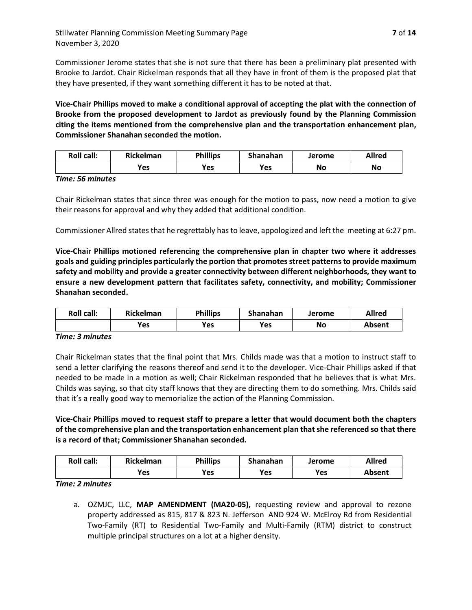Commissioner Jerome states that she is not sure that there has been a preliminary plat presented with Brooke to Jardot. Chair Rickelman responds that all they have in front of them is the proposed plat that they have presented, if they want something different it has to be noted at that.

**Vice-Chair Phillips moved to make a conditional approval of accepting the plat with the connection of Brooke from the proposed development to Jardot as previously found by the Planning Commission citing the items mentioned from the comprehensive plan and the transportation enhancement plan, Commissioner Shanahan seconded the motion.**

| <b>Roll call:</b> | <b>Rickelman</b> | <b>Phillips</b> | Shanahan | Jerome | Allred |
|-------------------|------------------|-----------------|----------|--------|--------|
|                   | <b>Yes</b>       | Yes             | Yes      | No     | No     |

*Time: 56 minutes*

Chair Rickelman states that since three was enough for the motion to pass, now need a motion to give their reasons for approval and why they added that additional condition.

Commissioner Allred states that he regrettably has to leave, appologized and left the meeting at 6:27 pm.

**Vice-Chair Phillips motioned referencing the comprehensive plan in chapter two where it addresses goals and guiding principles particularly the portion that promotes street patterns to provide maximum safety and mobility and provide a greater connectivity between different neighborhoods, they want to ensure a new development pattern that facilitates safety, connectivity, and mobility; Commissioner Shanahan seconded.** 

| <b>Roll call:</b> | <b>Rickelman</b> | <b>Phillips</b> | Shanahan | Jerome | Allred |
|-------------------|------------------|-----------------|----------|--------|--------|
|                   | Yes              | <b>Yes</b>      | Yes      | No     | Absent |

### *Time: 3 minutes*

Chair Rickelman states that the final point that Mrs. Childs made was that a motion to instruct staff to send a letter clarifying the reasons thereof and send it to the developer. Vice-Chair Phillips asked if that needed to be made in a motion as well; Chair Rickelman responded that he believes that is what Mrs. Childs was saying, so that city staff knows that they are directing them to do something. Mrs. Childs said that it's a really good way to memorialize the action of the Planning Commission.

**Vice-Chair Phillips moved to request staff to prepare a letter that would document both the chapters of the comprehensive plan and the transportation enhancement plan that she referenced so that there is a record of that; Commissioner Shanahan seconded.**

| <b>Roll call:</b> | <b>Rickelman</b> | <b>Phillips</b> | Shanahan | Jerome | <b>Allred</b> |
|-------------------|------------------|-----------------|----------|--------|---------------|
|                   | Yes              | Yes             | Yes      | Yes    | Absent        |

*Time: 2 minutes*

a. OZMJC, LLC, **MAP AMENDMENT (MA20-05),** requesting review and approval to rezone property addressed as 815, 817 & 823 N. Jefferson AND 924 W. McElroy Rd from Residential Two-Family (RT) to Residential Two-Family and Multi-Family (RTM) district to construct multiple principal structures on a lot at a higher density.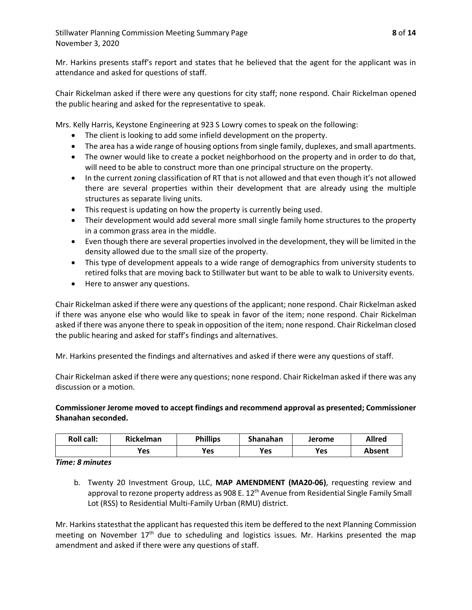Mr. Harkins presents staff's report and states that he believed that the agent for the applicant was in attendance and asked for questions of staff.

Chair Rickelman asked if there were any questions for city staff; none respond. Chair Rickelman opened the public hearing and asked for the representative to speak.

Mrs. Kelly Harris, Keystone Engineering at 923 S Lowry comes to speak on the following:

- The client is looking to add some infield development on the property.
- The area has a wide range of housing options from single family, duplexes, and small apartments.
- The owner would like to create a pocket neighborhood on the property and in order to do that, will need to be able to construct more than one principal structure on the property.
- In the current zoning classification of RT that is not allowed and that even though it's not allowed there are several properties within their development that are already using the multiple structures as separate living units.
- This request is updating on how the property is currently being used.
- Their development would add several more small single family home structures to the property in a common grass area in the middle.
- Even though there are several properties involved in the development, they will be limited in the density allowed due to the small size of the property.
- This type of development appeals to a wide range of demographics from university students to retired folks that are moving back to Stillwater but want to be able to walk to University events.
- Here to answer any questions.

Chair Rickelman asked if there were any questions of the applicant; none respond. Chair Rickelman asked if there was anyone else who would like to speak in favor of the item; none respond. Chair Rickelman asked if there was anyone there to speak in opposition of the item; none respond. Chair Rickelman closed the public hearing and asked for staff's findings and alternatives.

Mr. Harkins presented the findings and alternatives and asked if there were any questions of staff.

Chair Rickelman asked if there were any questions; none respond. Chair Rickelman asked if there was any discussion or a motion.

**Commissioner Jerome moved to accept findings and recommend approval as presented; Commissioner Shanahan seconded.**

| <b>Roll call:</b> | <b>Rickelman</b> | <b>Phillips</b> | Shanahan | Jerome | <b>Allred</b> |
|-------------------|------------------|-----------------|----------|--------|---------------|
|                   | Yes              | Yes             | Yes      | Yes    | Absent        |

*Time: 8 minutes*

b. Twenty 20 Investment Group, LLC, **MAP AMENDMENT (MA20-06)**, requesting review and approval to rezone property address as 908 E. 12<sup>th</sup> Avenue from Residential Single Family Small Lot (RSS) to Residential Multi-Family Urban (RMU) district.

Mr. Harkins statesthat the applicant has requested this item be deffered to the next Planning Commission meeting on November  $17<sup>th</sup>$  due to scheduling and logistics issues. Mr. Harkins presented the map amendment and asked if there were any questions of staff.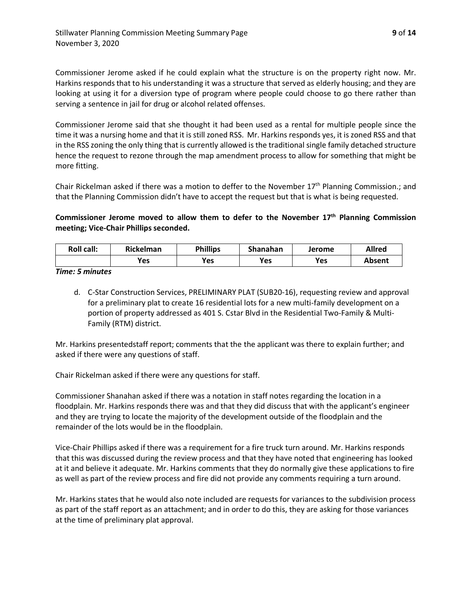Commissioner Jerome asked if he could explain what the structure is on the property right now. Mr. Harkins responds that to his understanding it was a structure that served as elderly housing; and they are looking at using it for a diversion type of program where people could choose to go there rather than serving a sentence in jail for drug or alcohol related offenses.

Commissioner Jerome said that she thought it had been used as a rental for multiple people since the time it was a nursing home and that it is still zoned RSS. Mr. Harkins responds yes, it is zoned RSS and that in the RSS zoning the only thing that is currently allowed is the traditional single family detached structure hence the request to rezone through the map amendment process to allow for something that might be more fitting.

Chair Rickelman asked if there was a motion to deffer to the November 17<sup>th</sup> Planning Commission.; and that the Planning Commission didn't have to accept the request but that is what is being requested.

## **Commissioner Jerome moved to allow them to defer to the November 17th Planning Commission meeting; Vice-Chair Phillips seconded.**

| <b>Roll call:</b> | <b>Rickelman</b> | <b>Phillips</b> | Shanahan | Jerome | <b>Allred</b> |
|-------------------|------------------|-----------------|----------|--------|---------------|
|                   | Yes              | <b>Yes</b>      | Yes      | Yes    | <b>Absent</b> |

*Time: 5 minutes*

d. C-Star Construction Services, PRELIMINARY PLAT (SUB20-16), requesting review and approval for a preliminary plat to create 16 residential lots for a new multi-family development on a portion of property addressed as 401 S. Cstar Blvd in the Residential Two-Family & Multi-Family (RTM) district.

Mr. Harkins presentedstaff report; comments that the the applicant was there to explain further; and asked if there were any questions of staff.

Chair Rickelman asked if there were any questions for staff.

Commissioner Shanahan asked if there was a notation in staff notes regarding the location in a floodplain. Mr. Harkins responds there was and that they did discuss that with the applicant's engineer and they are trying to locate the majority of the development outside of the floodplain and the remainder of the lots would be in the floodplain.

Vice-Chair Phillips asked if there was a requirement for a fire truck turn around. Mr. Harkins responds that this was discussed during the review process and that they have noted that engineering has looked at it and believe it adequate. Mr. Harkins comments that they do normally give these applications to fire as well as part of the review process and fire did not provide any comments requiring a turn around.

Mr. Harkins states that he would also note included are requests for variances to the subdivision process as part of the staff report as an attachment; and in order to do this, they are asking for those variances at the time of preliminary plat approval.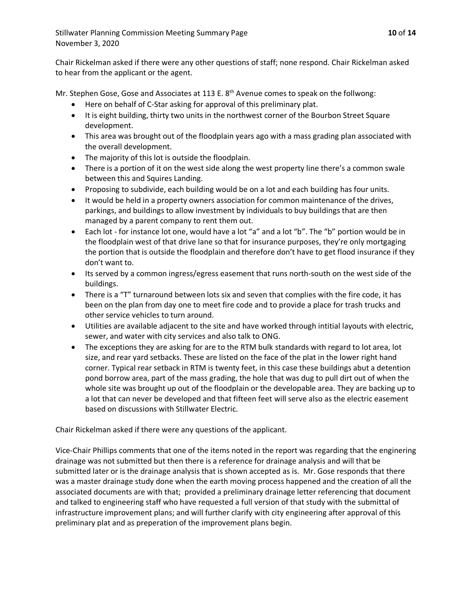Chair Rickelman asked if there were any other questions of staff; none respond. Chair Rickelman asked to hear from the applicant or the agent.

Mr. Stephen Gose, Gose and Associates at 113 E.  $8<sup>th</sup>$  Avenue comes to speak on the follwong:

- Here on behalf of C-Star asking for approval of this preliminary plat.
- It is eight building, thirty two units in the northwest corner of the Bourbon Street Square development.
- This area was brought out of the floodplain years ago with a mass grading plan associated with the overall development.
- The majority of this lot is outside the floodplain.
- There is a portion of it on the west side along the west property line there's a common swale between this and Squires Landing.
- Proposing to subdivide, each building would be on a lot and each building has four units.
- It would be held in a property owners association for common maintenance of the drives, parkings, and buildings to allow investment by individuals to buy buildings that are then managed by a parent company to rent them out.
- Each lot for instance lot one, would have a lot "a" and a lot "b". The "b" portion would be in the floodplain west of that drive lane so that for insurance purposes, they're only mortgaging the portion that is outside the floodplain and therefore don't have to get flood insurance if they don't want to.
- Its served by a common ingress/egress easement that runs north-south on the west side of the buildings.
- There is a "T" turnaround between lots six and seven that complies with the fire code, it has been on the plan from day one to meet fire code and to provide a place for trash trucks and other service vehicles to turn around.
- Utilities are available adjacent to the site and have worked through intitial layouts with electric, sewer, and water with city services and also talk to ONG.
- The exceptions they are asking for are to the RTM bulk standards with regard to lot area, lot size, and rear yard setbacks. These are listed on the face of the plat in the lower right hand corner. Typical rear setback in RTM is twenty feet, in this case these buildings abut a detention pond borrow area, part of the mass grading, the hole that was dug to pull dirt out of when the whole site was brought up out of the floodplain or the developable area. They are backing up to a lot that can never be developed and that fifteen feet will serve also as the electric easement based on discussions with Stillwater Electric.

Chair Rickelman asked if there were any questions of the applicant.

Vice-Chair Phillips comments that one of the items noted in the report was regarding that the enginering drainage was not submitted but then there is a reference for drainage analysis and will that be submitted later or is the drainage analysis that is shown accepted as is. Mr. Gose responds that there was a master drainage study done when the earth moving process happened and the creation of all the associated documents are with that; provided a preliminary drainage letter referencing that document and talked to engineering staff who have requested a full version of that study with the submittal of infrastructure improvement plans; and will further clarify with city engineering after approval of this preliminary plat and as preperation of the improvement plans begin.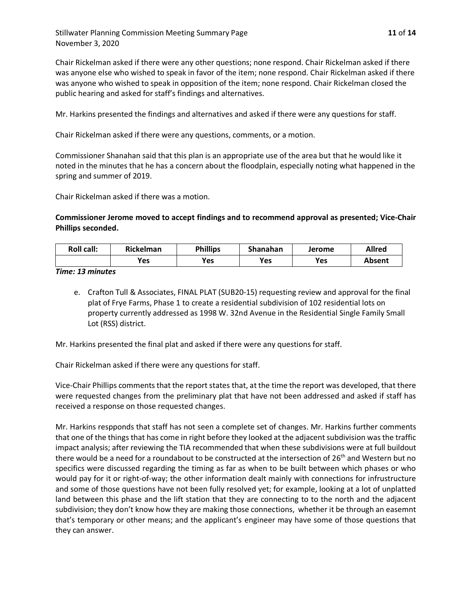Stillwater Planning Commission Meeting Summary Page **11** of **14** November 3, 2020

Chair Rickelman asked if there were any other questions; none respond. Chair Rickelman asked if there was anyone else who wished to speak in favor of the item; none respond. Chair Rickelman asked if there was anyone who wished to speak in opposition of the item; none respond. Chair Rickelman closed the public hearing and asked for staff's findings and alternatives.

Mr. Harkins presented the findings and alternatives and asked if there were any questions for staff.

Chair Rickelman asked if there were any questions, comments, or a motion.

Commissioner Shanahan said that this plan is an appropriate use of the area but that he would like it noted in the minutes that he has a concern about the floodplain, especially noting what happened in the spring and summer of 2019.

Chair Rickelman asked if there was a motion.

**Commissioner Jerome moved to accept findings and to recommend approval as presented; Vice-Chair Phillips seconded.**

| <b>Roll call:</b> | <b>Rickelman</b> | <b>Phillips</b> | Shanahan | Jerome | <b>Allred</b> |
|-------------------|------------------|-----------------|----------|--------|---------------|
|                   | Yes              | Yes             | Yes      | Yes    | Absent        |

*Time: 13 minutes*

e. Crafton Tull & Associates, FINAL PLAT (SUB20-15) requesting review and approval for the final plat of Frye Farms, Phase 1 to create a residential subdivision of 102 residential lots on property currently addressed as 1998 W. 32nd Avenue in the Residential Single Family Small Lot (RSS) district.

Mr. Harkins presented the final plat and asked if there were any questions for staff.

Chair Rickelman asked if there were any questions for staff.

Vice-Chair Phillips comments that the report states that, at the time the report was developed, that there were requested changes from the preliminary plat that have not been addressed and asked if staff has received a response on those requested changes.

Mr. Harkins respponds that staff has not seen a complete set of changes. Mr. Harkins further comments that one of the things that has come in right before they looked at the adjacent subdivision was the traffic impact analysis; after reviewing the TIA recommended that when these subdivisions were at full buildout there would be a need for a roundabout to be constructed at the intersection of 26<sup>th</sup> and Western but no specifics were discussed regarding the timing as far as when to be built between which phases or who would pay for it or right-of-way; the other information dealt mainly with connections for infrustructure and some of those questions have not been fully resolved yet; for example, looking at a lot of unplatted land between this phase and the lift station that they are connecting to to the north and the adjacent subdivision; they don't know how they are making those connections, whether it be through an easemnt that's temporary or other means; and the applicant's engineer may have some of those questions that they can answer.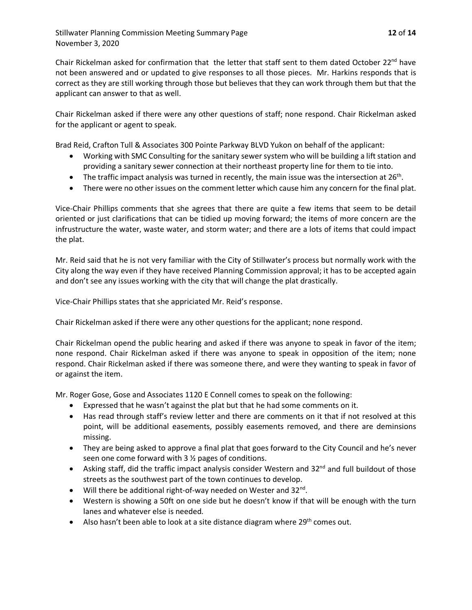Chair Rickelman asked for confirmation that the letter that staff sent to them dated October  $22^{nd}$  have not been answered and or updated to give responses to all those pieces. Mr. Harkins responds that is correct as they are still working through those but believes that they can work through them but that the applicant can answer to that as well.

Chair Rickelman asked if there were any other questions of staff; none respond. Chair Rickelman asked for the applicant or agent to speak.

Brad Reid, Crafton Tull & Associates 300 Pointe Parkway BLVD Yukon on behalf of the applicant:

- Working with SMC Consulting for the sanitary sewer system who will be building a lift station and providing a sanitary sewer connection at their northeast property line for them to tie into.
- The traffic impact analysis was turned in recently, the main issue was the intersection at  $26<sup>th</sup>$ .
- There were no other issues on the comment letter which cause him any concern for the final plat.

Vice-Chair Phillips comments that she agrees that there are quite a few items that seem to be detail oriented or just clarifications that can be tidied up moving forward; the items of more concern are the infrustructure the water, waste water, and storm water; and there are a lots of items that could impact the plat.

Mr. Reid said that he is not very familiar with the City of Stillwater's process but normally work with the City along the way even if they have received Planning Commission approval; it has to be accepted again and don't see any issues working with the city that will change the plat drastically.

Vice-Chair Phillips states that she appriciated Mr. Reid's response.

Chair Rickelman asked if there were any other questions for the applicant; none respond.

Chair Rickelman opend the public hearing and asked if there was anyone to speak in favor of the item; none respond. Chair Rickelman asked if there was anyone to speak in opposition of the item; none respond. Chair Rickelman asked if there was someone there, and were they wanting to speak in favor of or against the item.

Mr. Roger Gose, Gose and Associates 1120 E Connell comes to speak on the following:

- Expressed that he wasn't against the plat but that he had some comments on it.
- Has read through staff's review letter and there are comments on it that if not resolved at this point, will be additional easements, possibly easements removed, and there are deminsions missing.
- They are being asked to approve a final plat that goes forward to the City Council and he's never seen one come forward with 3 ½ pages of conditions.
- Asking staff, did the traffic impact analysis consider Western and  $32^{nd}$  and full buildout of those streets as the southwest part of the town continues to develop.
- Will there be additional right-of-way needed on Wester and  $32^{\text{nd}}$ .
- Western is showing a 50ft on one side but he doesn't know if that will be enough with the turn lanes and whatever else is needed.
- Also hasn't been able to look at a site distance diagram where  $29<sup>th</sup>$  comes out.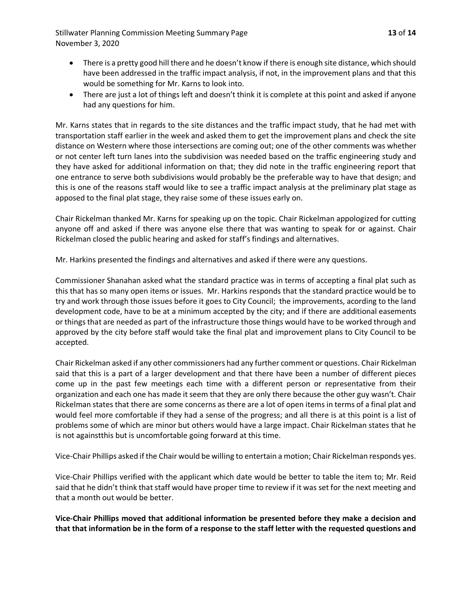Stillwater Planning Commission Meeting Summary Page **13** of **14** November 3, 2020

- There is a pretty good hill there and he doesn't know if there is enough site distance, which should have been addressed in the traffic impact analysis, if not, in the improvement plans and that this would be something for Mr. Karns to look into.
- There are just a lot of things left and doesn't think it is complete at this point and asked if anyone had any questions for him.

Mr. Karns states that in regards to the site distances and the traffic impact study, that he had met with transportation staff earlier in the week and asked them to get the improvement plans and check the site distance on Western where those intersections are coming out; one of the other comments was whether or not center left turn lanes into the subdivision was needed based on the traffic engineering study and they have asked for additional information on that; they did note in the traffic engineering report that one entrance to serve both subdivisions would probably be the preferable way to have that design; and this is one of the reasons staff would like to see a traffic impact analysis at the preliminary plat stage as apposed to the final plat stage, they raise some of these issues early on.

Chair Rickelman thanked Mr. Karns for speaking up on the topic. Chair Rickelman appologized for cutting anyone off and asked if there was anyone else there that was wanting to speak for or against. Chair Rickelman closed the public hearing and asked for staff's findings and alternatives.

Mr. Harkins presented the findings and alternatives and asked if there were any questions.

Commissioner Shanahan asked what the standard practice was in terms of accepting a final plat such as this that has so many open items or issues. Mr. Harkins responds that the standard practice would be to try and work through those issues before it goes to City Council; the improvements, acording to the land development code, have to be at a minimum accepted by the city; and if there are additional easements or things that are needed as part of the infrastructure those things would have to be worked through and approved by the city before staff would take the final plat and improvement plans to City Council to be accepted.

Chair Rickelman asked if any other commissioners had any further comment or questions. Chair Rickelman said that this is a part of a larger development and that there have been a number of different pieces come up in the past few meetings each time with a different person or representative from their organization and each one has made it seem that they are only there because the other guy wasn't. Chair Rickelman states that there are some concerns as there are a lot of open items in terms of a final plat and would feel more comfortable if they had a sense of the progress; and all there is at this point is a list of problems some of which are minor but others would have a large impact. Chair Rickelman states that he is not againstthis but is uncomfortable going forward at this time.

Vice-Chair Phillips asked if the Chair would be willing to entertain a motion; Chair Rickelman responds yes.

Vice-Chair Phillips verified with the applicant which date would be better to table the item to; Mr. Reid said that he didn't think that staff would have proper time to review if it was set for the next meeting and that a month out would be better.

**Vice-Chair Phillips moved that additional information be presented before they make a decision and that that information be in the form of a response to the staff letter with the requested questions and**